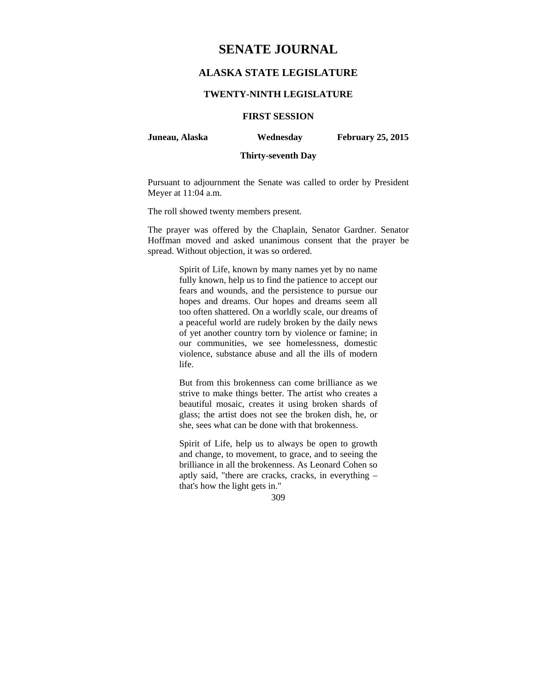# **SENATE JOURNAL**

# **ALASKA STATE LEGISLATURE**

## **TWENTY-NINTH LEGISLATURE**

# **FIRST SESSION**

**Juneau, Alaska Wednesday February 25, 2015** 

## **Thirty-seventh Day**

Pursuant to adjournment the Senate was called to order by President Meyer at 11:04 a.m.

The roll showed twenty members present.

The prayer was offered by the Chaplain, Senator Gardner. Senator Hoffman moved and asked unanimous consent that the prayer be spread. Without objection, it was so ordered.

> Spirit of Life, known by many names yet by no name fully known, help us to find the patience to accept our fears and wounds, and the persistence to pursue our hopes and dreams. Our hopes and dreams seem all too often shattered. On a worldly scale, our dreams of a peaceful world are rudely broken by the daily news of yet another country torn by violence or famine; in our communities, we see homelessness, domestic violence, substance abuse and all the ills of modern life.

> But from this brokenness can come brilliance as we strive to make things better. The artist who creates a beautiful mosaic, creates it using broken shards of glass; the artist does not see the broken dish, he, or she, sees what can be done with that brokenness.

> Spirit of Life, help us to always be open to growth and change, to movement, to grace, and to seeing the brilliance in all the brokenness. As Leonard Cohen so aptly said, "there are cracks, cracks, in everything – that's how the light gets in."

> > 309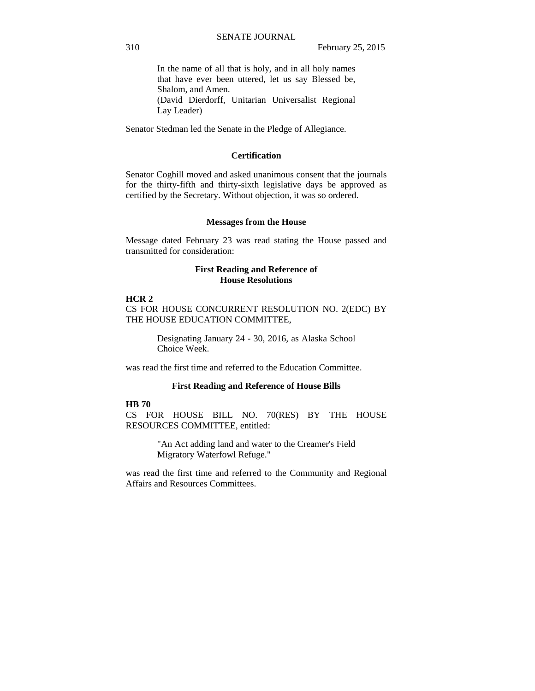In the name of all that is holy, and in all holy names that have ever been uttered, let us say Blessed be, Shalom, and Amen. (David Dierdorff, Unitarian Universalist Regional Lay Leader)

Senator Stedman led the Senate in the Pledge of Allegiance.

## **Certification**

Senator Coghill moved and asked unanimous consent that the journals for the thirty-fifth and thirty-sixth legislative days be approved as certified by the Secretary. Without objection, it was so ordered.

#### **Messages from the House**

Message dated February 23 was read stating the House passed and transmitted for consideration:

## **First Reading and Reference of House Resolutions**

## **HCR 2**

CS FOR HOUSE CONCURRENT RESOLUTION NO. 2(EDC) BY THE HOUSE EDUCATION COMMITTEE,

> Designating January 24 - 30, 2016, as Alaska School Choice Week.

was read the first time and referred to the Education Committee.

#### **First Reading and Reference of House Bills**

# **HB 70**

CS FOR HOUSE BILL NO. 70(RES) BY THE HOUSE RESOURCES COMMITTEE, entitled:

> "An Act adding land and water to the Creamer's Field Migratory Waterfowl Refuge."

was read the first time and referred to the Community and Regional Affairs and Resources Committees.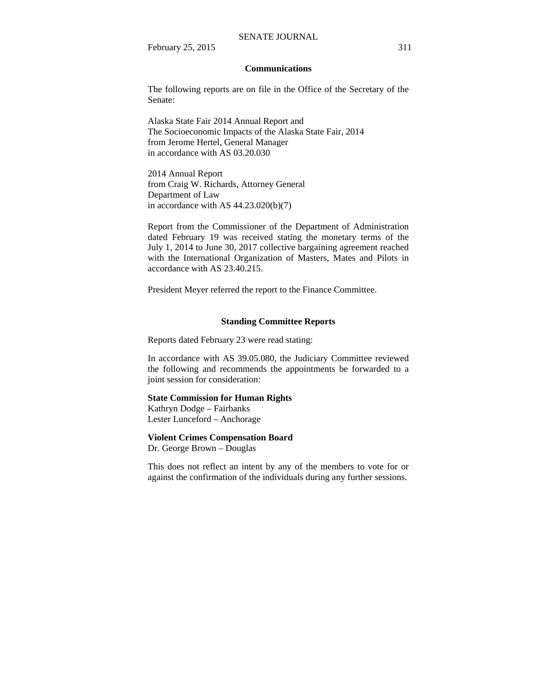#### SENATE JOURNAL

February 25, 2015 311

#### **Communications**

The following reports are on file in the Office of the Secretary of the Senate:

Alaska State Fair 2014 Annual Report and The Socioeconomic Impacts of the Alaska State Fair, 2014 from Jerome Hertel, General Manager in accordance with AS 03.20.030

2014 Annual Report from Craig W. Richards, Attorney General Department of Law in accordance with AS  $44.23.020(b)(7)$ 

Report from the Commissioner of the Department of Administration dated February 19 was received stating the monetary terms of the July 1, 2014 to June 30, 2017 collective bargaining agreement reached with the International Organization of Masters, Mates and Pilots in accordance with AS 23.40.215.

President Meyer referred the report to the Finance Committee.

# **Standing Committee Reports**

Reports dated February 23 were read stating:

In accordance with AS 39.05.080, the Judiciary Committee reviewed the following and recommends the appointments be forwarded to a joint session for consideration:

#### **State Commission for Human Rights**

Kathryn Dodge – Fairbanks Lester Lunceford – Anchorage

## **Violent Crimes Compensation Board**

Dr. George Brown – Douglas

This does not reflect an intent by any of the members to vote for or against the confirmation of the individuals during any further sessions.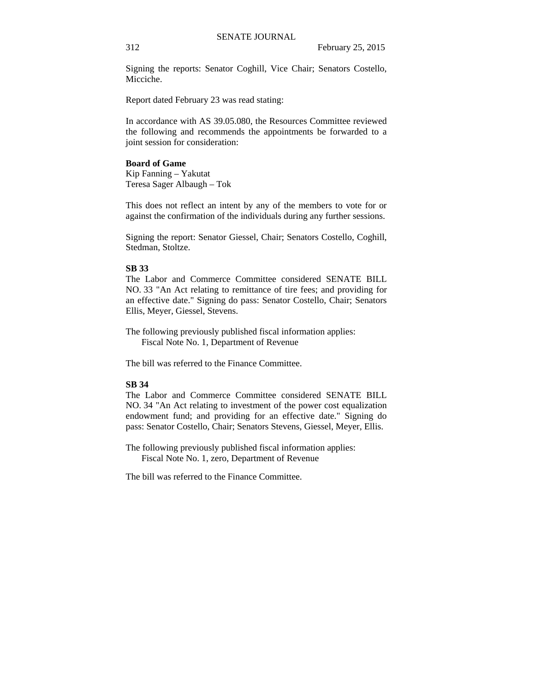Signing the reports: Senator Coghill, Vice Chair; Senators Costello, Micciche.

Report dated February 23 was read stating:

In accordance with AS 39.05.080, the Resources Committee reviewed the following and recommends the appointments be forwarded to a joint session for consideration:

### **Board of Game**

Kip Fanning – Yakutat Teresa Sager Albaugh – Tok

This does not reflect an intent by any of the members to vote for or against the confirmation of the individuals during any further sessions.

Signing the report: Senator Giessel, Chair; Senators Costello, Coghill, Stedman, Stoltze.

# **SB 33**

The Labor and Commerce Committee considered SENATE BILL NO. 33 "An Act relating to remittance of tire fees; and providing for an effective date." Signing do pass: Senator Costello, Chair; Senators Ellis, Meyer, Giessel, Stevens.

The following previously published fiscal information applies: Fiscal Note No. 1, Department of Revenue

The bill was referred to the Finance Committee.

### **SB 34**

The Labor and Commerce Committee considered SENATE BILL NO. 34 "An Act relating to investment of the power cost equalization endowment fund; and providing for an effective date." Signing do pass: Senator Costello, Chair; Senators Stevens, Giessel, Meyer, Ellis.

The following previously published fiscal information applies: Fiscal Note No. 1, zero, Department of Revenue

The bill was referred to the Finance Committee.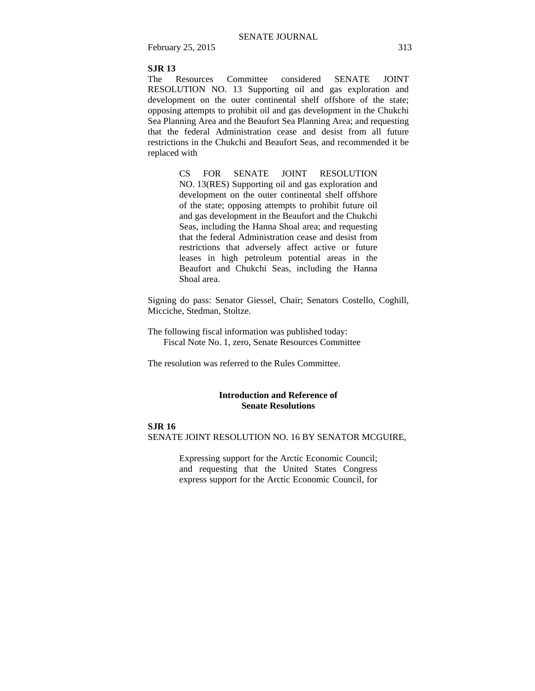February 25, 2015 313

# **SJR 13**

The Resources Committee considered SENATE JOINT RESOLUTION NO. 13 Supporting oil and gas exploration and development on the outer continental shelf offshore of the state; opposing attempts to prohibit oil and gas development in the Chukchi Sea Planning Area and the Beaufort Sea Planning Area; and requesting that the federal Administration cease and desist from all future restrictions in the Chukchi and Beaufort Seas, and recommended it be replaced with

> CS FOR SENATE JOINT RESOLUTION NO. 13(RES) Supporting oil and gas exploration and development on the outer continental shelf offshore of the state; opposing attempts to prohibit future oil and gas development in the Beaufort and the Chukchi Seas, including the Hanna Shoal area; and requesting that the federal Administration cease and desist from restrictions that adversely affect active or future leases in high petroleum potential areas in the Beaufort and Chukchi Seas, including the Hanna Shoal area.

Signing do pass: Senator Giessel, Chair; Senators Costello, Coghill, Micciche, Stedman, Stoltze.

The following fiscal information was published today: Fiscal Note No. 1, zero, Senate Resources Committee

The resolution was referred to the Rules Committee.

## **Introduction and Reference of Senate Resolutions**

## **SJR 16**

SENATE JOINT RESOLUTION NO. 16 BY SENATOR MCGUIRE,

Expressing support for the Arctic Economic Council; and requesting that the United States Congress express support for the Arctic Economic Council, for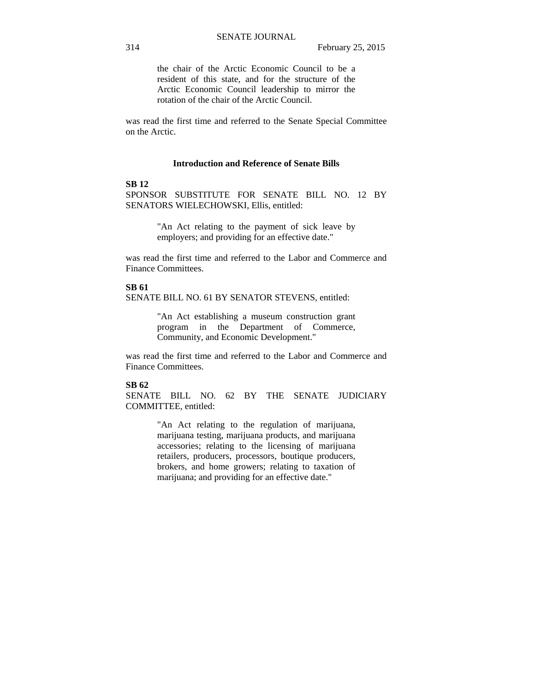the chair of the Arctic Economic Council to be a resident of this state, and for the structure of the Arctic Economic Council leadership to mirror the rotation of the chair of the Arctic Council.

was read the first time and referred to the Senate Special Committee on the Arctic.

#### **Introduction and Reference of Senate Bills**

### **SB 12**

SPONSOR SUBSTITUTE FOR SENATE BILL NO. 12 BY SENATORS WIELECHOWSKI, Ellis, entitled:

> "An Act relating to the payment of sick leave by employers; and providing for an effective date."

was read the first time and referred to the Labor and Commerce and Finance Committees.

### **SB 61**

SENATE BILL NO. 61 BY SENATOR STEVENS, entitled:

"An Act establishing a museum construction grant program in the Department of Commerce, Community, and Economic Development."

was read the first time and referred to the Labor and Commerce and Finance Committees.

### **SB 62**

SENATE BILL NO. 62 BY THE SENATE JUDICIARY COMMITTEE, entitled:

> "An Act relating to the regulation of marijuana, marijuana testing, marijuana products, and marijuana accessories; relating to the licensing of marijuana retailers, producers, processors, boutique producers, brokers, and home growers; relating to taxation of marijuana; and providing for an effective date."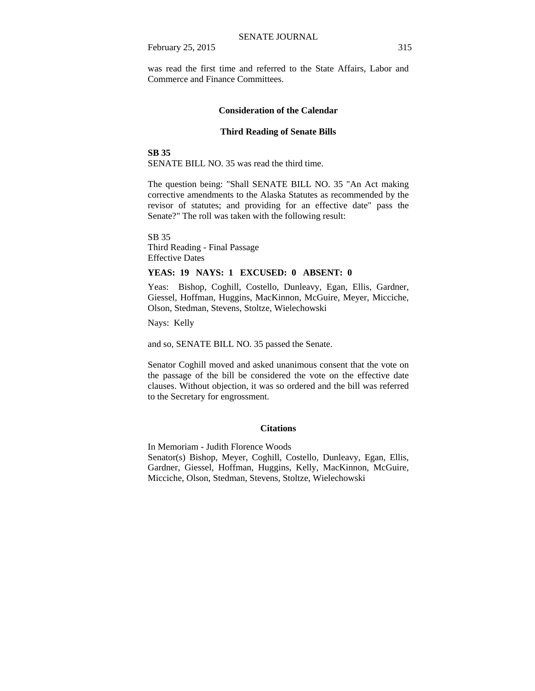February 25, 2015 315

was read the first time and referred to the State Affairs, Labor and Commerce and Finance Committees.

#### **Consideration of the Calendar**

#### **Third Reading of Senate Bills**

#### **SB 35**

SENATE BILL NO. 35 was read the third time.

The question being: "Shall SENATE BILL NO. 35 "An Act making corrective amendments to the Alaska Statutes as recommended by the revisor of statutes; and providing for an effective date" pass the Senate?" The roll was taken with the following result:

SB 35 Third Reading - Final Passage Effective Dates

## **YEAS: 19 NAYS: 1 EXCUSED: 0 ABSENT: 0**

Yeas: Bishop, Coghill, Costello, Dunleavy, Egan, Ellis, Gardner, Giessel, Hoffman, Huggins, MacKinnon, McGuire, Meyer, Micciche, Olson, Stedman, Stevens, Stoltze, Wielechowski

Nays: Kelly

and so, SENATE BILL NO. 35 passed the Senate.

Senator Coghill moved and asked unanimous consent that the vote on the passage of the bill be considered the vote on the effective date clauses. Without objection, it was so ordered and the bill was referred to the Secretary for engrossment.

### **Citations**

In Memoriam - Judith Florence Woods Senator(s) Bishop, Meyer, Coghill, Costello, Dunleavy, Egan, Ellis, Gardner, Giessel, Hoffman, Huggins, Kelly, MacKinnon, McGuire, Micciche, Olson, Stedman, Stevens, Stoltze, Wielechowski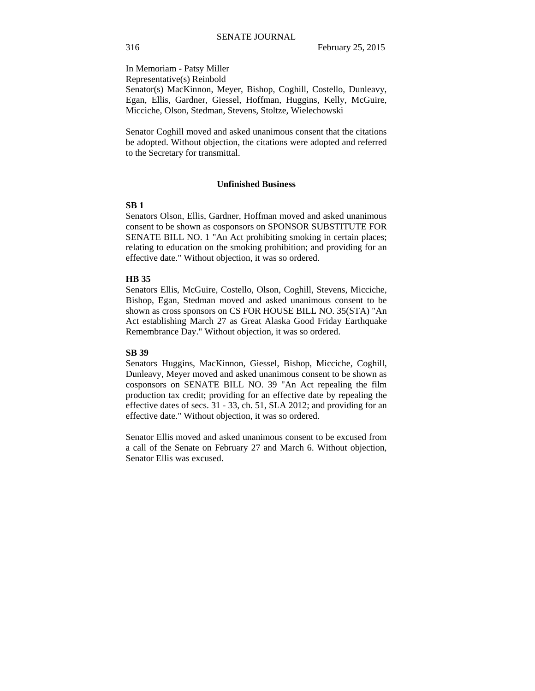In Memoriam - Patsy Miller Representative(s) Reinbold Senator(s) MacKinnon, Meyer, Bishop, Coghill, Costello, Dunleavy, Egan, Ellis, Gardner, Giessel, Hoffman, Huggins, Kelly, McGuire, Micciche, Olson, Stedman, Stevens, Stoltze, Wielechowski

Senator Coghill moved and asked unanimous consent that the citations be adopted. Without objection, the citations were adopted and referred to the Secretary for transmittal.

#### **Unfinished Business**

## **SB 1**

Senators Olson, Ellis, Gardner, Hoffman moved and asked unanimous consent to be shown as cosponsors on SPONSOR SUBSTITUTE FOR SENATE BILL NO. 1 "An Act prohibiting smoking in certain places; relating to education on the smoking prohibition; and providing for an effective date." Without objection, it was so ordered.

#### **HB 35**

Senators Ellis, McGuire, Costello, Olson, Coghill, Stevens, Micciche, Bishop, Egan, Stedman moved and asked unanimous consent to be shown as cross sponsors on CS FOR HOUSE BILL NO. 35(STA) "An Act establishing March 27 as Great Alaska Good Friday Earthquake Remembrance Day." Without objection, it was so ordered.

### **SB 39**

Senators Huggins, MacKinnon, Giessel, Bishop, Micciche, Coghill, Dunleavy, Meyer moved and asked unanimous consent to be shown as cosponsors on SENATE BILL NO. 39 "An Act repealing the film production tax credit; providing for an effective date by repealing the effective dates of secs. 31 - 33, ch. 51, SLA 2012; and providing for an effective date." Without objection, it was so ordered.

Senator Ellis moved and asked unanimous consent to be excused from a call of the Senate on February 27 and March 6. Without objection, Senator Ellis was excused.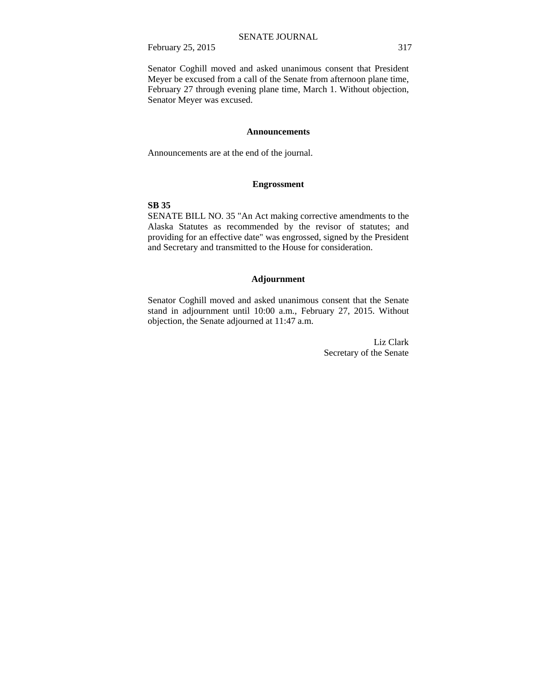February 25, 2015 317

Senator Coghill moved and asked unanimous consent that President Meyer be excused from a call of the Senate from afternoon plane time, February 27 through evening plane time, March 1. Without objection, Senator Meyer was excused.

## **Announcements**

Announcements are at the end of the journal.

## **Engrossment**

## **SB 35**

SENATE BILL NO. 35 "An Act making corrective amendments to the Alaska Statutes as recommended by the revisor of statutes; and providing for an effective date" was engrossed, signed by the President and Secretary and transmitted to the House for consideration.

### **Adjournment**

Senator Coghill moved and asked unanimous consent that the Senate stand in adjournment until 10:00 a.m., February 27, 2015. Without objection, the Senate adjourned at 11:47 a.m.

> Liz Clark Secretary of the Senate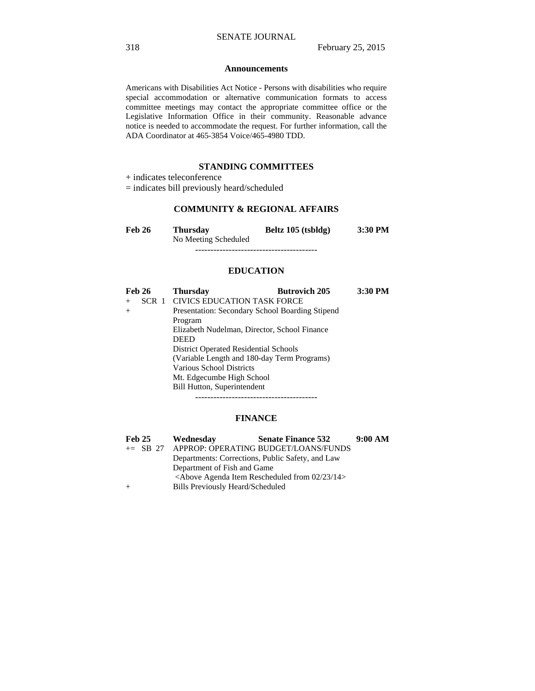#### **Announcements**

Americans with Disabilities Act Notice - Persons with disabilities who require special accommodation or alternative communication formats to access committee meetings may contact the appropriate committee office or the Legislative Information Office in their community. Reasonable advance notice is needed to accommodate the request. For further information, call the ADA Coordinator at 465-3854 Voice/465-4980 TDD.

# **STANDING COMMITTEES**

+ indicates teleconference

= indicates bill previously heard/scheduled

# **COMMUNITY & REGIONAL AFFAIRS**

| <b>Feb 26</b> | <b>Thursday</b>      | Beltz 105 (tsbldg) | 3:30 PM |
|---------------|----------------------|--------------------|---------|
|               | No Meeting Scheduled |                    |         |
|               |                      |                    |         |

## **EDUCATION**

| <b>Feb 26</b> | <b>Thursday</b>                                 | <b>Butrovich 205</b> | 3:30 PM |
|---------------|-------------------------------------------------|----------------------|---------|
| SCR 1         | CIVICS EDUCATION TASK FORCE                     |                      |         |
| $^{+}$        | Presentation: Secondary School Boarding Stipend |                      |         |
|               | Program                                         |                      |         |
|               | Elizabeth Nudelman, Director, School Finance    |                      |         |
|               | <b>DEED</b>                                     |                      |         |
|               | <b>District Operated Residential Schools</b>    |                      |         |
|               | (Variable Length and 180-day Term Programs)     |                      |         |
|               | <b>Various School Districts</b>                 |                      |         |
|               | Mt. Edgecumbe High School                       |                      |         |
|               | <b>Bill Hutton, Superintendent</b>              |                      |         |
|               |                                                 |                      |         |

# **FINANCE**

| <b>Feb 25</b> | Wednesday                        | <b>Senate Finance 532</b>                           | 9:00 AM |
|---------------|----------------------------------|-----------------------------------------------------|---------|
| $\pm$ SB 27   |                                  | APPROP: OPERATING BUDGET/LOANS/FUNDS                |         |
|               |                                  | Departments: Corrections, Public Safety, and Law    |         |
|               | Department of Fish and Game      |                                                     |         |
|               |                                  | $\leq$ Above Agenda Item Rescheduled from 02/23/14> |         |
|               | Bills Previously Heard/Scheduled |                                                     |         |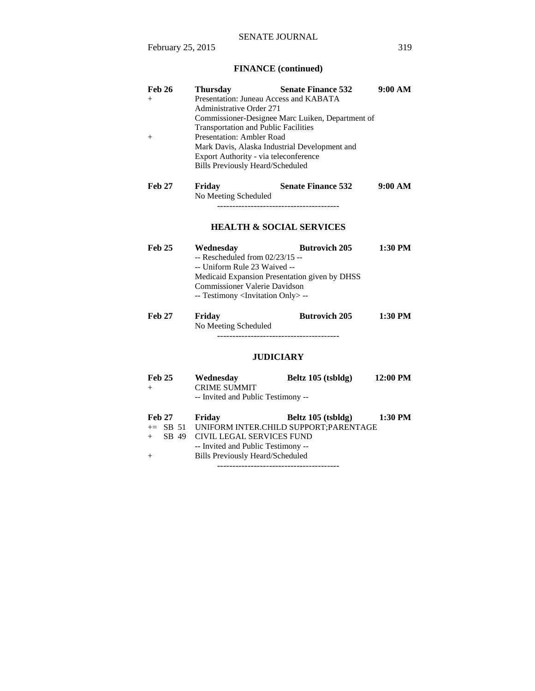# **FINANCE (continued)**

| <b>Feb 26</b><br>$^{+}$<br>$^{+}$ | <b>Thursday</b><br>Presentation: Juneau Access and KABATA<br>Administrative Order 271<br><b>Transportation and Public Facilities</b><br><b>Presentation: Ambler Road</b><br>Export Authority - via teleconference<br><b>Bills Previously Heard/Scheduled</b> | <b>Senate Finance 532</b><br>Commissioner-Designee Marc Luiken, Department of<br>Mark Davis, Alaska Industrial Development and | 9:00 AM   |
|-----------------------------------|--------------------------------------------------------------------------------------------------------------------------------------------------------------------------------------------------------------------------------------------------------------|--------------------------------------------------------------------------------------------------------------------------------|-----------|
| <b>Feb 27</b>                     | Friday<br>No Meeting Scheduled                                                                                                                                                                                                                               | <b>Senate Finance 532</b><br><b>HEALTH &amp; SOCIAL SERVICES</b>                                                               | 9:00 AM   |
| Feh 25                            | Wednesday<br>$-$ Rescheduled from $02/23/15 -$<br>-- Uniform Rule 23 Waived --<br>Commissioner Valerie Davidson<br>-- Testimony <invitation only=""> --</invitation>                                                                                         | <b>Butrovich 205</b><br>Medicaid Expansion Presentation given by DHSS                                                          | $1:30$ PM |
| <b>Feb 27</b>                     | Friday<br>No Meeting Scheduled                                                                                                                                                                                                                               | <b>Butrovich 205</b><br><b>HIDICIADV</b>                                                                                       | $1:30$ PM |

## **JUDICIARY**

| <b>Feb 25</b><br>$+$ | Wednesday<br><b>CRIME SUMMIT</b>        | Beltz 105 (tsbldg)                             | 12:00 PM |
|----------------------|-----------------------------------------|------------------------------------------------|----------|
|                      | -- Invited and Public Testimony --      |                                                |          |
| <b>Feb 27</b>        | Friday                                  | Beltz 105 (tsbldg)                             | 1:30 PM  |
|                      |                                         | += SB 51 UNIFORM INTER.CHILD SUPPORT:PARENTAGE |          |
| SB 49<br>$+$         | CIVIL LEGAL SERVICES FUND               |                                                |          |
|                      | -- Invited and Public Testimony --      |                                                |          |
| $+$                  | <b>Bills Previously Heard/Scheduled</b> |                                                |          |
|                      |                                         |                                                |          |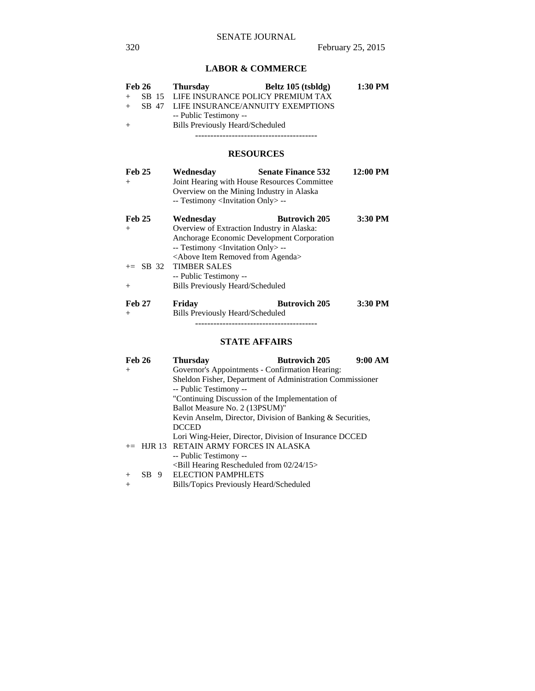# **LABOR & COMMERCE**

| <b>Feb 26</b><br>$+$<br>$+$ | <b>Thursday</b><br>SB 15 LIFE INSURANCE POLICY PREMIUM TAX<br>SB 47 LIFE INSURANCE/ANNUITY EXEMPTIONS                                                                                                               | Beltz 105 (tsbldg)        | 1:30 PM  |
|-----------------------------|---------------------------------------------------------------------------------------------------------------------------------------------------------------------------------------------------------------------|---------------------------|----------|
| $^{+}$                      | -- Public Testimony --<br><b>Bills Previously Heard/Scheduled</b>                                                                                                                                                   |                           |          |
|                             | <b>RESOURCES</b>                                                                                                                                                                                                    |                           |          |
| <b>Feb 25</b><br>$+$        | Wednesday<br>Joint Hearing with House Resources Committee<br>Overview on the Mining Industry in Alaska<br>-- Testimony <invitation only=""> --</invitation>                                                         | <b>Senate Finance 532</b> | 12:00 PM |
| <b>Feb 25</b><br>$+$        | Wednesday<br>Overview of Extraction Industry in Alaska:<br>Anchorage Economic Development Corporation<br>-- Testimony <invitation only=""> --<br/><above agenda="" from="" item="" removed=""></above></invitation> | <b>Butrovich 205</b>      | 3:30 PM  |
| $\pm$ SB 32                 | <b>TIMBER SALES</b><br>-- Public Testimony --                                                                                                                                                                       |                           |          |
| $^{+}$                      | <b>Bills Previously Heard/Scheduled</b>                                                                                                                                                                             |                           |          |
| <b>Feb 27</b><br>$+$        | Friday<br>Bills Previously Heard/Scheduled                                                                                                                                                                          | <b>Butrovich 205</b>      | 3:30 PM  |
|                             |                                                                                                                                                                                                                     |                           |          |

# **STATE AFFAIRS**

| <b>Feb 26</b> |  | <b>Thursday</b>                                           | <b>Butrovich 205</b> | 9:00 AM |
|---------------|--|-----------------------------------------------------------|----------------------|---------|
| $+$           |  | Governor's Appointments - Confirmation Hearing:           |                      |         |
|               |  | Sheldon Fisher, Department of Administration Commissioner |                      |         |
|               |  | -- Public Testimony --                                    |                      |         |
|               |  | "Continuing Discussion of the Implementation of           |                      |         |
|               |  | Ballot Measure No. 2 (13PSUM)"                            |                      |         |
|               |  | Kevin Anselm, Director, Division of Banking & Securities, |                      |         |
|               |  | <b>DCCED</b>                                              |                      |         |
|               |  | Lori Wing-Heier, Director, Division of Insurance DCCED    |                      |         |
|               |  | $+=$ HJR 13 RETAIN ARMY FORCES IN ALASKA                  |                      |         |
|               |  | -- Public Testimony --                                    |                      |         |
|               |  | $\le$ Bill Hearing Rescheduled from 02/24/15 $>$          |                      |         |
| $+$           |  | SB 9 ELECTION PAMPHLETS                                   |                      |         |
| $^{+}$        |  | Bills/Topics Previously Heard/Scheduled                   |                      |         |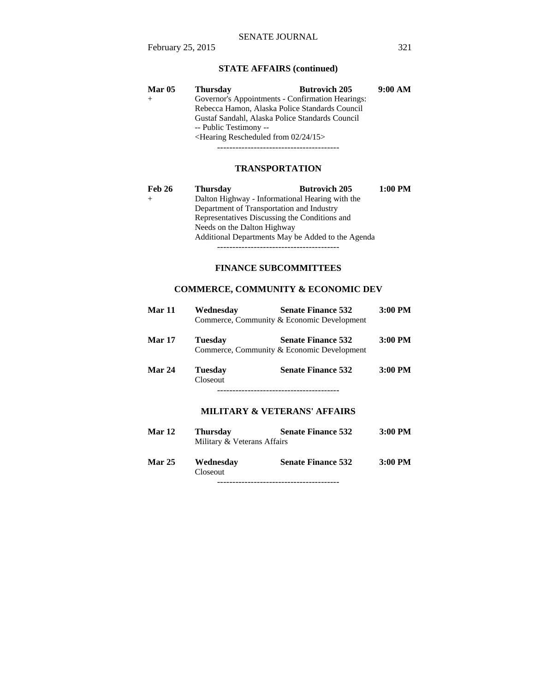# **STATE AFFAIRS (continued)**

| <b>Mar 05</b> | <b>Thursday</b>                                 | <b>Butrovich 205</b>                             | 9:00 AM |
|---------------|-------------------------------------------------|--------------------------------------------------|---------|
|               |                                                 | Governor's Appointments - Confirmation Hearings: |         |
|               |                                                 | Rebecca Hamon, Alaska Police Standards Council   |         |
|               | Gustaf Sandahl, Alaska Police Standards Council |                                                  |         |
|               | -- Public Testimony --                          |                                                  |         |
|               | $\leq$ Hearing Rescheduled from 02/24/15 $>$    |                                                  |         |
|               |                                                 |                                                  |         |

# **TRANSPORTATION**

| Feb 26 | <b>Thursday</b>                           | <b>Butrovich 205</b>                              | $1:00$ PM |
|--------|-------------------------------------------|---------------------------------------------------|-----------|
|        |                                           | Dalton Highway - Informational Hearing with the   |           |
|        | Department of Transportation and Industry |                                                   |           |
|        |                                           | Representatives Discussing the Conditions and     |           |
|        | Needs on the Dalton Highway               |                                                   |           |
|        |                                           | Additional Departments May be Added to the Agenda |           |

----------------------------------------

# **FINANCE SUBCOMMITTEES**

# **COMMERCE, COMMUNITY & ECONOMIC DEV**

| Mar 11        | Wednesday           | <b>Senate Finance 532</b><br>Commerce, Community & Economic Development | $3:00$ PM |
|---------------|---------------------|-------------------------------------------------------------------------|-----------|
| <b>Mar 17</b> | <b>Tuesday</b>      | <b>Senate Finance 532</b><br>Commerce, Community & Economic Development | $3:00$ PM |
| Mar 24        | Tuesday<br>Closeout | <b>Senate Finance 532</b>                                               | 3:00 PM   |
|               |                     | <b>MILITARY &amp; VETERANS' AFFAIRS</b>                                 |           |
| <b>Mar 12</b> | Thursdav            | <b>Senate Finance 532</b>                                               | 3:00 PM   |

|               | Military & Veterans Affairs |                           |           |
|---------------|-----------------------------|---------------------------|-----------|
| <b>Mar 25</b> | Wednesday<br>Closeout       | <b>Senate Finance 532</b> | $3:00$ PM |

----------------------------------------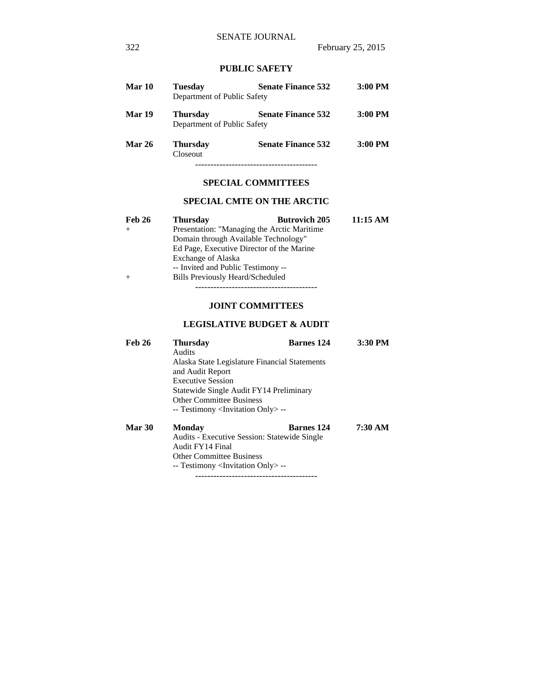# **PUBLIC SAFETY**

| Mar 10        | Tuesdav<br>Department of Public Safety         | <b>Senate Finance 532</b> | $3:00$ PM |
|---------------|------------------------------------------------|---------------------------|-----------|
| <b>Mar 19</b> | <b>Thursday</b><br>Department of Public Safety | <b>Senate Finance 532</b> | $3:00$ PM |
| <b>Mar 26</b> | <b>Thursday</b><br>Closeout                    | <b>Senate Finance 532</b> | 3:00 PM   |
|               |                                                |                           |           |

## **SPECIAL COMMITTEES**

# **SPECIAL CMTE ON THE ARCTIC**

| <b>Feb 26</b> | <b>Thursday</b>                              | <b>Butrovich 205</b> | 11:15 AM |
|---------------|----------------------------------------------|----------------------|----------|
| $+$           | Presentation: "Managing the Arctic Maritime" |                      |          |
|               | Domain through Available Technology"         |                      |          |
|               | Ed Page, Executive Director of the Marine    |                      |          |
|               | Exchange of Alaska                           |                      |          |
|               | -- Invited and Public Testimony --           |                      |          |
| $+$           | <b>Bills Previously Heard/Scheduled</b>      |                      |          |

----------------------------------------

# **JOINT COMMITTEES**

# **LEGISLATIVE BUDGET & AUDIT**

| <b>Feb 26</b> | <b>Thursday</b>                                     | <b>Barnes</b> 124 | 3:30 PM |  |  |
|---------------|-----------------------------------------------------|-------------------|---------|--|--|
|               | Audits                                              |                   |         |  |  |
|               | Alaska State Legislature Financial Statements       |                   |         |  |  |
|               | and Audit Report                                    |                   |         |  |  |
|               | <b>Executive Session</b>                            |                   |         |  |  |
|               | Statewide Single Audit FY14 Preliminary             |                   |         |  |  |
|               | <b>Other Committee Business</b>                     |                   |         |  |  |
|               | -- Testimony <invitation only=""> --</invitation>   |                   |         |  |  |
| <b>Mar 30</b> | <b>Monday</b>                                       | <b>Barnes</b> 124 | 7:30 AM |  |  |
|               | <b>Audits - Executive Session: Statewide Single</b> |                   |         |  |  |

 Audit FY14 Final Other Committee Business -- Testimony <Invitation Only> -- ----------------------------------------